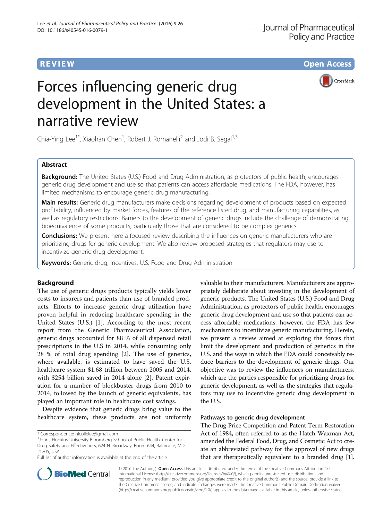

CrossMark

# Forces influencing generic drug development in the United States: a narrative review

Chia-Ying Lee<sup>1\*</sup>, Xiaohan Chen<sup>1</sup>, Robert J. Romanelli<sup>2</sup> and Jodi B. Segal<sup>1,3</sup>

# Abstract

Background: The United States (U.S.) Food and Drug Administration, as protectors of public health, encourages generic drug development and use so that patients can access affordable medications. The FDA, however, has limited mechanisms to encourage generic drug manufacturing.

Main results: Generic drug manufacturers make decisions regarding development of products based on expected profitability, influenced by market forces, features of the reference listed drug, and manufacturing capabilities, as well as regulatory restrictions. Barriers to the development of generic drugs include the challenge of demonstrating bioequivalence of some products, particularly those that are considered to be complex generics.

**Conclusions:** We present here a focused review describing the influences on generic manufacturers who are prioritizing drugs for generic development. We also review proposed strategies that regulators may use to incentivize generic drug development.

Keywords: Generic drug, Incentives, U.S. Food and Drug Administration

# Background

The use of generic drugs products typically yields lower costs to insurers and patients than use of branded products. Efforts to increase generic drug utilization have proven helpful in reducing healthcare spending in the United States (U.S.) [\[1](#page-4-0)]. According to the most recent report from the Generic Pharmaceutical Association, generic drugs accounted for 88 % of all dispensed retail prescriptions in the U.S in 2014, while consuming only 28 % of total drug spending [[2\]](#page-4-0). The use of generics, where available, is estimated to have saved the U.S. healthcare system \$1.68 trillion between 2005 and 2014, with \$254 billion saved in 2014 alone [\[2](#page-4-0)]. Patent expiration for a number of blockbuster drugs from 2010 to 2014, followed by the launch of generic equivalents, has played an important role in healthcare cost savings.

Despite evidence that generic drugs bring value to the healthcare system, these products are not uniformly

<sup>1</sup>Johns Hopkins University Bloomberg School of Public Health, Center for Drug Safety and Effectiveness, 624 N. Broadway, Room 644, Baltimore, MD 21205, USA

Full list of author information is available at the end of the article

valuable to their manufacturers. Manufacturers are appropriately deliberate about investing in the development of generic products. The United States (U.S.) Food and Drug Administration, as protectors of public health, encourages generic drug development and use so that patients can access affordable medications; however, the FDA has few mechanisms to incentivize generic manufacturing. Herein, we present a review aimed at exploring the forces that limit the development and production of generics in the U.S. and the ways in which the FDA could conceivably reduce barriers to the development of generic drugs. Our objective was to review the influences on manufacturers, which are the parties responsible for prioritizing drugs for generic development, as well as the strategies that regulators may use to incentivize generic drug development in the U.S.

# Pathways to generic drug development

The Drug Price Competition and Patent Term Restoration Act of 1984, often referred to as the Hatch-Waxman Act, amended the Federal Food, Drug, and Cosmetic Act to create an abbreviated pathway for the approval of new drugs that are therapeutically equivalent to a branded drug [[1](#page-4-0)].



© 2016 The Author(s). Open Access This article is distributed under the terms of the Creative Commons Attribution 4.0 International License [\(http://creativecommons.org/licenses/by/4.0/](http://creativecommons.org/licenses/by/4.0/)), which permits unrestricted use, distribution, and reproduction in any medium, provided you give appropriate credit to the original author(s) and the source, provide a link to the Creative Commons license, and indicate if changes were made. The Creative Commons Public Domain Dedication waiver [\(http://creativecommons.org/publicdomain/zero/1.0/](http://creativecommons.org/publicdomain/zero/1.0/)) applies to the data made available in this article, unless otherwise stated.

<sup>\*</sup> Correspondence: [nicollelee@gmail.com](mailto:nicollelee@gmail.com) <sup>1</sup>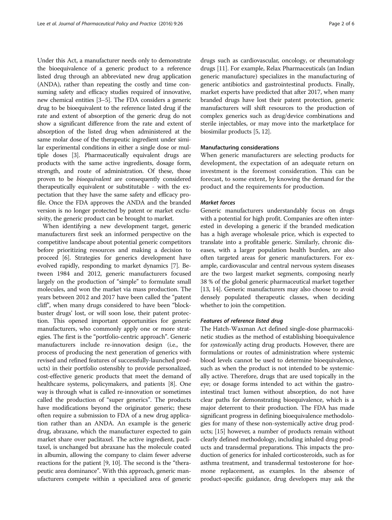Under this Act, a manufacturer needs only to demonstrate the bioequivalence of a generic product to a reference listed drug through an abbreviated new drug application (ANDA), rather than repeating the costly and time consuming safety and efficacy studies required of innovative, new chemical entities [\[3](#page-4-0)–[5\]](#page-4-0). The FDA considers a generic drug to be bioequivalent to the reference listed drug if the rate and extent of absorption of the generic drug do not show a significant difference from the rate and extent of absorption of the listed drug when administered at the same molar dose of the therapeutic ingredient under similar experimental conditions in either a single dose or multiple doses [\[3\]](#page-4-0). Pharmaceutically equivalent drugs are products with the same active ingredients, dosage form, strength, and route of administration. Of these, those proven to be bioequivalent are consequently considered therapeutically equivalent or substitutable - with the expectation that they have the same safety and efficacy profile. Once the FDA approves the ANDA and the branded version is no longer protected by patent or market exclusivity, the generic product can be brought to market.

When identifying a new development target, generic manufacturers first seek an informed perspective on the competitive landscape about potential generic competitors before prioritizing resources and making a decision to proceed [[6\]](#page-4-0). Strategies for generics development have evolved rapidly, responding to market dynamics [[7\]](#page-4-0). Between 1984 and 2012, generic manufacturers focused largely on the production of "simple" to formulate small molecules, and won the market via mass production. The years between 2012 and 2017 have been called the "patent cliff", when many drugs considered to have been "blockbuster drugs' lost, or will soon lose, their patent protection. This opened important opportunities for generic manufacturers, who commonly apply one or more strategies. The first is the "portfolio-centric approach". Generic manufacturers include re-innovation design (i.e., the process of producing the next generation of generics with revised and refined features of successfully-launched products) in their portfolio ostensibly to provide personalized, cost-effective generic products that meet the demand of healthcare systems, policymakers, and patients [[8](#page-4-0)]. One way is through what is called re-innovation or sometimes called the production of "super generics". The products have modifications beyond the originator generic; these often require a submission to FDA of a new drug application rather than an ANDA. An example is the generic drug, abraxane, which the manufacturer expected to gain market share over paclitaxel. The active ingredient, paclitaxel, is unchanged but abraxane has the molecule coated in albumin, allowing the company to claim fewer adverse reactions for the patient [\[9, 10\]](#page-4-0). The second is the "therapeutic area dominance". With this approach, generic manufacturers compete within a specialized area of generic drugs such as cardiovascular, oncology, or rheumatology drugs [[11](#page-4-0)]. For example, Relax Pharmaceuticals (an Indian generic manufacture) specializes in the manufacturing of generic antibiotics and gastrointestinal products. Finally, market experts have predicted that after 2017, when many branded drugs have lost their patent protection, generic manufacturers will shift resources to the production of complex generics such as drug/device combinations and sterile injectables, or may move into the marketplace for biosimilar products [\[5, 12](#page-4-0)].

## Manufacturing considerations

When generic manufacturers are selecting products for development, the expectation of an adequate return on investment is the foremost consideration. This can be forecast, to some extent, by knowing the demand for the product and the requirements for production.

#### Market forces

Generic manufacturers understandably focus on drugs with a potential for high profit. Companies are often interested in developing a generic if the branded medication has a high average wholesale price, which is expected to translate into a profitable generic. Similarly, chronic diseases, with a larger population health burden, are also often targeted areas for generic manufacturers. For example, cardiovascular and central nervous system diseases are the two largest market segments, composing nearly 38 % of the global generic pharmaceutical market together [[13](#page-4-0), [14](#page-4-0)]. Generic manufacturers may also choose to avoid densely populated therapeutic classes, when deciding whether to join the competition.

#### Features of reference listed drug

The Hatch-Waxman Act defined single-dose pharmacokinetic studies as the method of establishing bioequivalence for systemically acting drug products. However, there are formulations or routes of administration where systemic blood levels cannot be used to determine bioequivalence, such as when the product is not intended to be systemically active. Therefore, drugs that are used topically in the eye; or dosage forms intended to act within the gastrointestinal tract lumen without absorption, do not have clear paths for demonstrating bioequivalence, which is a major deterrent to their production. The FDA has made significant progress in defining bioequivalence methodologies for many of these non-systemically active drug products; [[15](#page-4-0)] however, a number of products remain without clearly defined methodology, including inhaled drug products and transdermal preparations. This impacts the production of generics for inhaled corticosteroids, such as for asthma treatment, and transdermal testosterone for hormone replacement, as examples. In the absence of product-specific guidance, drug developers may ask the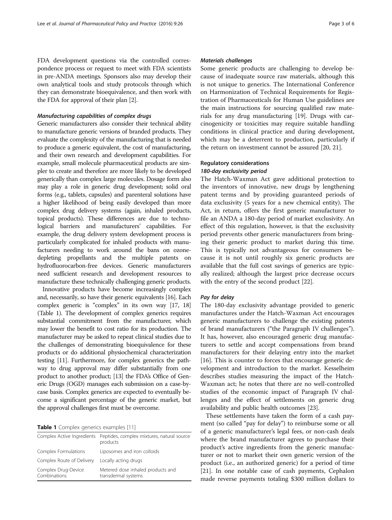FDA development questions via the controlled correspondence process or request to meet with FDA scientists in pre-ANDA meetings. Sponsors also may develop their own analytical tools and study protocols through which they can demonstrate bioequivalence, and then work with the FDA for approval of their plan [\[2](#page-4-0)].

# Manufacturing capabilities of complex drugs

Generic manufacturers also consider their technical ability to manufacture generic versions of branded products. They evaluate the complexity of the manufacturing that is needed to produce a generic equivalent, the cost of manufacturing, and their own research and development capabilities. For example, small molecule pharmaceutical products are simpler to create and therefore are more likely to be developed generically than complex large molecules. Dosage form also may play a role in generic drug development; solid oral forms (e.g., tablets, capsules) and parenteral solutions have a higher likelihood of being easily developed than more complex drug delivery systems (again, inhaled products, topical products). These differences are due to technological barriers and manufacturers' capabilities. For example, the drug delivery system development process is particularly complicated for inhaled products with manufacturers needing to work around the bans on ozonedepleting propellants and the multiple patents on hydrofluorocarbon-free devices. Generic manufacturers need sufficient research and development resources to manufacture these technically challenging generic products.

Innovative products have become increasingly complex and, necessarily, so have their generic equivalents [\[16\]](#page-5-0). Each complex generic is "complex" in its own way [\[17](#page-5-0), [18](#page-5-0)] (Table 1). The development of complex generics requires substantial commitment from the manufacturer, which may lower the benefit to cost ratio for its production. The manufacturer may be asked to repeat clinical studies due to the challenges of demonstrating bioequivalence for these products or do additional physiochemical characterization testing [[11](#page-4-0)]. Furthermore, for complex generics the pathway to drug approval may differ substantially from one product to another product; [\[13](#page-4-0)] the FDA's Office of Generic Drugs (OGD) manages each submission on a case-bycase basis. Complex generics are expected to eventually become a significant percentage of the generic market, but the approval challenges first must be overcome.

### Table 1 Complex generics examples [\[11\]](#page-4-0)

|                                     | Complex Active Ingredients Peptides, complex mixtures, natural source<br>products |
|-------------------------------------|-----------------------------------------------------------------------------------|
| Complex Formulations                | Liposomes and iron colloids                                                       |
| Complex Route of Delivery           | Locally acting drugs                                                              |
| Complex Drug-Device<br>Combinations | Metered dose inhaled products and<br>transdermal systems                          |

# Materials challenges

Some generic products are challenging to develop because of inadequate source raw materials, although this is not unique to generics. The International Conference on Harmonization of Technical Requirements for Registration of Pharmaceuticals for Human Use guidelines are the main instructions for sourcing qualified raw materials for any drug manufacturing [[19\]](#page-5-0). Drugs with carcinogenicity or toxicities may require suitable handling conditions in clinical practice and during development, which may be a deterrent to production, particularly if the return on investment cannot be assured [[20](#page-5-0), [21](#page-5-0)].

# Regulatory considerations 180-day exclusivity period

The Hatch-Waxman Act gave additional protection to the inventors of innovative, new drugs by lengthening patent terms and by providing guaranteed periods of data exclusivity (5 years for a new chemical entity). The Act, in return, offers the first generic manufacturer to file an ANDA a 180-day period of market exclusivity. An effect of this regulation, however, is that the exclusivity period prevents other generic manufacturers from bringing their generic product to market during this time. This is typically not advantageous for consumers because it is not until roughly six generic products are available that the full cost savings of generics are typically realized; although the largest price decrease occurs with the entry of the second product [[22\]](#page-5-0).

# Pay for delay

The 180-day exclusivity advantage provided to generic manufactures under the Hatch-Waxman Act encourages generic manufacturers to challenge the existing patents of brand manufacturers ("the Paragraph IV challenges"). It has, however, also encouraged generic drug manufacturers to settle and accept compensations from brand manufacturers for their delaying entry into the market [[16\]](#page-5-0). This is counter to forces that encourage generic development and introduction to the market. Kesselheim describes studies measuring the impact of the Hatch-Waxman act; he notes that there are no well-controlled studies of the economic impact of Paragraph IV challenges and the effect of settlements on generic drug availability and public health outcomes [\[23](#page-5-0)].

These settlements have taken the form of a cash payment (so called "pay for delay") to reimburse some or all of a generic manufacturer's legal fees, or non-cash deals where the brand manufacturer agrees to purchase their product's active ingredients from the generic manufacturer or not to market their own generic version of the product (i.e., an authorized generic) for a period of time [[21\]](#page-5-0). In one notable case of cash payments, Cephalon made reverse payments totaling \$300 million dollars to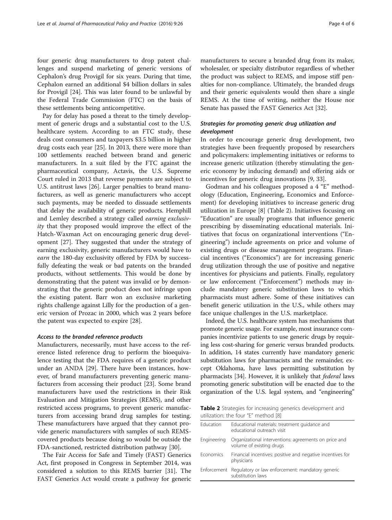four generic drug manufacturers to drop patent challenges and suspend marketing of generic versions of Cephalon's drug Provigil for six years. During that time, Cephalon earned an additional \$4 billion dollars in sales for Provigil [[24](#page-5-0)]. This was later found to be unlawful by the Federal Trade Commission (FTC) on the basis of these settlements being anticompetitive.

Pay for delay has posed a threat to the timely development of generic drugs and a substantial cost to the U.S. healthcare system. According to an FTC study, these deals cost consumers and taxpayers \$3.5 billion in higher drug costs each year [[25\]](#page-5-0). In 2013, there were more than 100 settlements reached between brand and generic manufacturers. In a suit filed by the FTC against the pharmaceutical company, Actavis, the U.S. Supreme Court ruled in 2013 that reverse payments are subject to U.S. antitrust laws [\[26\]](#page-5-0). Larger penalties to brand manufacturers, as well as generic manufacturers who accept such payments, may be needed to dissuade settlements that delay the availability of generic products. Hemphill and Lemley described a strategy called earning exclusivity that they proposed would improve the effect of the Hatch-Waxman Act on encouraging generic drug development [\[27](#page-5-0)]. They suggested that under the strategy of earning exclusivity, generic manufacturers would have to earn the 180-day exclusivity offered by FDA by successfully defeating the weak or bad patents on the branded products, without settlements. This would be done by demonstrating that the patent was invalid or by demonstrating that the generic product does not infringe upon the existing patent. Barr won an exclusive marketing rights challenge against Lilly for the production of a generic version of Prozac in 2000, which was 2 years before the patent was expected to expire [[28\]](#page-5-0).

# Access to the branded reference products

Manufacturers, necessarily, must have access to the reference listed reference drug to perform the bioequivalence testing that the FDA requires of a generic product under an ANDA [[29](#page-5-0)]. There have been instances, however, of brand manufacturers preventing generic manufacturers from accessing their product [[23\]](#page-5-0). Some brand manufacturers have used the restrictions in their Risk Evaluation and Mitigation Strategies (REMS), and other restricted access programs, to prevent generic manufacturers from accessing brand drug samples for testing. These manufacturers have argued that they cannot provide generic manufacturers with samples of such REMScovered products because doing so would be outside the FDA-sanctioned, restricted distribution pathway [\[30](#page-5-0)].

The Fair Access for Safe and Timely (FAST) Generics Act, first proposed in Congress in September 2014, was considered a solution to this REMS barrier [\[31\]](#page-5-0). The FAST Generics Act would create a pathway for generic

manufacturers to secure a branded drug from its maker, wholesaler, or specialty distributor regardless of whether the product was subject to REMS, and impose stiff penalties for non-compliance. Ultimately, the branded drugs and their generic equivalents would then share a single REMS. At the time of writing, neither the House nor Senate has passed the FAST Generics Act [\[32](#page-5-0)].

# Strategies for promoting generic drug utilization and development

In order to encourage generic drug development, two strategies have been frequently proposed by researchers and policymakers: implementing initiatives or reforms to increase generic utilization (thereby stimulating the generic economy by inducing demand) and offering aids or incentives for generic drug innovations [[9,](#page-4-0) [33\]](#page-5-0).

Godman and his colleagues proposed a 4 "E" methodology (Education, Engineering, Economics and Enforcement) for developing initiatives to increase generic drug utilization in Europe [\[8](#page-4-0)] (Table 2). Initiatives focusing on "Education" are usually programs that influence generic prescribing by disseminating educational materials. Initiatives that focus on organizational interventions ("Engineering") include agreements on price and volume of existing drugs or disease management programs. Financial incentives ("Economics") are for increasing generic drug utilization through the use of positive and negative incentives for physicians and patients. Finally, regulatory or law enforcement ("Enforcement") methods may include mandatory generic substitution laws to which pharmacists must adhere. Some of these initiatives can benefit generic utilization in the U.S., while others may face unique challenges in the U.S. marketplace.

Indeed, the U.S. healthcare system has mechanisms that promote generic usage. For example, most insurance companies incentivize patients to use generic drugs by requiring less cost-sharing for generic versus branded products. In addition, 14 states currently have mandatory generic substitution laws for pharmacists and the remainder, except Oklahoma, have laws permitting substitution by pharmacists [\[34\]](#page-5-0). However, it is unlikely that *federal* laws promoting generic substitution will be enacted due to the organization of the U.S. legal system, and "engineering"

Table 2 Strategies for increasing generics development and utilization: the four "E" method [\[8](#page-4-0)]

| <b>Education</b> | Educational materials: treatment guidance and<br>educational outreach visit       |
|------------------|-----------------------------------------------------------------------------------|
| Engineering      | Organizational interventions: agreements on price and<br>volume of existing drugs |
| Economics        | Financial incentives: positive and negative incentives for<br>physicians          |
| Enforcement      | Regulatory or law enforcement: mandatory generic<br>substitution laws             |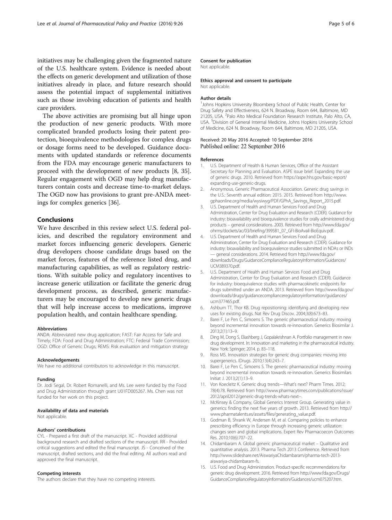<span id="page-4-0"></span>initiatives may be challenging given the fragmented nature of the U.S. healthcare system. Evidence is needed about the effects on generic development and utilization of those initiatives already in place, and future research should assess the potential impact of supplemental initiatives such as those involving education of patients and health care providers.

The above activities are promising but all hinge upon the production of new generic products. With more complicated branded products losing their patent protection, bioequivalence methodologies for complex drugs or dosage forms need to be developed. Guidance documents with updated standards or reference documents from the FDA may encourage generic manufacturers to proceed with the development of new products [8, [35](#page-5-0)]. Regular engagement with OGD may help drug manufacturers contain costs and decrease time-to-market delays. The OGD now has provisions to grant pre-ANDA meetings for complex generics [[36\]](#page-5-0).

# **Conclusions**

We have described in this review select U.S. federal policies, and described the regulatory environment and market forces influencing generic developers. Generic drug developers choose candidate drugs based on the market forces, features of the reference listed drug, and manufacturing capabilities, as well as regulatory restrictions. With suitable policy and regulatory incentives to increase generic utilization or facilitate the generic drug development process, as described, generic manufacturers may be encouraged to develop new generic drugs that will help increase access to medications, improve population health, and contain healthcare spending.

#### Abbreviations

ANDA: Abbreviated new drug application; FAST: Fair Access for Safe and Timely; FDA: Food and Drug Administration; FTC: Federal Trade Commission; OGD: Office of Generic Drugs; REMS: Risk evaluation and mitigation strategy

#### Acknowledgements

We have no additional contributors to acknowledge in this manuscript.

#### Funding

Dr. Jodi Segal, Dr. Robert Romanelli, and Ms. Lee were funded by the Food and Drug Administration through grant U01FD005267. Ms. Chen was not funded for her work on this project.

#### Availability of data and materials

Not applicable.

# Authors' contributions

CYL - Prepared a first draft of the manuscript. XC - Provided additional background research and drafted sections of the manuscript. RR - Provided critical suggestions and edited the final manuscript. JS - Conceived of the manuscript, drafted sections, and did the final editing. All authors read and approved the final manuscript.

#### Competing interests

The authors declare that they have no competing interests.

#### Consent for publication

Not applicable.

#### Ethics approval and consent to participate

Not applicable.

#### Author details

<sup>1</sup> Johns Hopkins University Bloomberg School of Public Health, Center for Drug Safety and Effectiveness, 624 N. Broadway, Room 644, Baltimore, MD 21205, USA. <sup>2</sup> Palo Alto Medical Foundation Research Institute, Palo Alto, CA, USA. <sup>3</sup> Division of General Internal Medicine, Johns Hopkins University School of Medicine, 624 N. Broadway, Room 644, Baltimore, MD 21205, USA.

#### Received: 20 May 2016 Accepted: 10 September 2016 Published online: 22 September 2016

#### References

- U.S. Department of Health & Human Services, Office of the Assistant Secretary for Planning and Evaluation. ASPE issue brief. Expanding the use of generic drugs. 2010. Retrieved from [https://aspe.hhs.gov/basic-report/](https://aspe.hhs.gov/basic-report/expanding-use-generic-drugs) [expanding-use-generic-drugs](https://aspe.hhs.gov/basic-report/expanding-use-generic-drugs).
- 2. Anonymous, Generic Pharmaceutical Association. Generic drug savings in the U.S.: Seventh annual edition: 2015. 2015. Retrieved from [http://www.](http://www.gphaonline.org/media/wysiwyg/PDF/GPhA_Savings_Report_2015.pdf) [gphaonline.org/media/wysiwyg/PDF/GPhA\\_Savings\\_Report\\_2015.pdf.](http://www.gphaonline.org/media/wysiwyg/PDF/GPhA_Savings_Report_2015.pdf)
- 3. U.S. Department of Health and Human Services Food and Drug Administration, Center for Drug Evaluation and Research (CDER). Guidance for industry: bioavailability and bioequivalence studies for orally administered drug products – general considerations. 2003. Retrieved from [http://www.fda.gov/](http://www.fda.gov/ohrms/dockets/ac/03/briefing/3995B1_07_GFI-BioAvail-BioEquiv.pdf) [ohrms/dockets/ac/03/briefing/3995B1\\_07\\_GFI-BioAvail-BioEquiv.pdf](http://www.fda.gov/ohrms/dockets/ac/03/briefing/3995B1_07_GFI-BioAvail-BioEquiv.pdf).
- 4. U.S. Department of Health and Human Services Food and Drug Administration, Center for Drug Evaluation and Research (CDER). Guidance for industry: bioavailability and bioequivalence studies submitted in NDAs or INDs — general considerations. 2014. Retrieved from [http://www.fda.gov/](http://www.fda.gov/downloads/Drugs/GuidanceComplianceRegulatoryInformation/Guidances/UCM389370.pdf) [downloads/Drugs/GuidanceComplianceRegulatoryInformation/Guidances/](http://www.fda.gov/downloads/Drugs/GuidanceComplianceRegulatoryInformation/Guidances/UCM389370.pdf) [UCM389370.pdf.](http://www.fda.gov/downloads/Drugs/GuidanceComplianceRegulatoryInformation/Guidances/UCM389370.pdf)
- 5. U.S. Department of Health and Human Services Food and Drug Administration, Center for Drug Evaluation and Research (CDER). Guidance for industry: bioequivalence studies with pharmacokinetic endpoints for drugs submitted under an ANDA. 2013. Retrieved from [http://www.fda.gov/](http://www.fda.gov/downloads/drugs/guidancecomplianceregulatoryinformation/guidances/ucm377465.pdf) [downloads/drugs/guidancecomplianceregulatoryinformation/guidances/](http://www.fda.gov/downloads/drugs/guidancecomplianceregulatoryinformation/guidances/ucm377465.pdf) [ucm377465.pdf.](http://www.fda.gov/downloads/drugs/guidancecomplianceregulatoryinformation/guidances/ucm377465.pdf)
- 6. Ashburn TT, Thor KB. Drug repositioning: identifying and developing new uses for existing drugs. Nat Rev Drug Discov. 2004;3(8):673–83.
- 7. Barei F, Le Pen C, Simoens S. The generic pharmaceutical industry: moving beyond incremental innovation towards re-innovation. Generics Biosimilar J. 2013;2(1):13–9.
- 8. Ding M, Dong S, Eliashberg J, Gopalakrishnan A. Portfolio management in new drug development. In: Innovation and marketing in the pharmaceutical industry. New York: Springer; 2014. p. 83–118.
- 9. Ross MS. Innovation strategies for generic drug companies: moving into supergenerics. IDrugs. 2010;13(4):243–7.
- 10. Barei F, Le Pen C, Simoens S. The generic pharmaceutical industry: moving beyond incremental innovation towards re-innovation. Generics Biosimilars Initiat J. 2013;2(1):13–9.
- 11. Von Koeckritz K. Generic drug trends—What's next? Pharm Times. 2012; 78(4):78. Retrieved from [http://www.pharmacytimes.com/publications/issue/](http://www.pharmacytimes.com/publications/issue/2012/april2012/generic-drug-trends-whats-next-) [2012/april2012/generic-drug-trends-whats-next-](http://www.pharmacytimes.com/publications/issue/2012/april2012/generic-drug-trends-whats-next-)-.
- 12. McKinsey & Company, Global Generics Interest Group. Generating value in generics: finding the next five years of growth. 2013. Retrieved from [http://](http://www.pharmatalents.es/assets/files/generating_value.pdf) [www.pharmatalents.es/assets/files/generating\\_value.pdf](http://www.pharmatalents.es/assets/files/generating_value.pdf).
- 13. Godman B, Shrank W, Andersen M, et al. Comparing policies to enhance prescribing efficiency in Europe through increasing generic utilization: changes seen and global implications. Expert Rev Pharmacoecon Outcomes Res. 2010;10(6):707–22.
- 14. Chidambaram A. Global generic pharmaceutical market Qualitative and quantitative analysis. 2013. Pharma Tech 2013 Conference. Retrieved from [http://www.slideshare.net/AiswariyaChidambaram/pharma-tech-2013](http://www.slideshare.net/AiswariyaChidambaram/pharma-tech-2013-aiswariya-chidambaram-fs) [aiswariya-chidambaram-fs](http://www.slideshare.net/AiswariyaChidambaram/pharma-tech-2013-aiswariya-chidambaram-fs).
- 15. U.S. Food and Drug Administration. Product-specific recommendations for generic drug development. 2016. Retrieved from [http://www.fda.gov/Drugs/](http://www.fda.gov/Drugs/GuidanceComplianceRegulatoryInformation/Guidances/ucm075207.htm) [GuidanceComplianceRegulatoryInformation/Guidances/ucm075207.htm.](http://www.fda.gov/Drugs/GuidanceComplianceRegulatoryInformation/Guidances/ucm075207.htm)